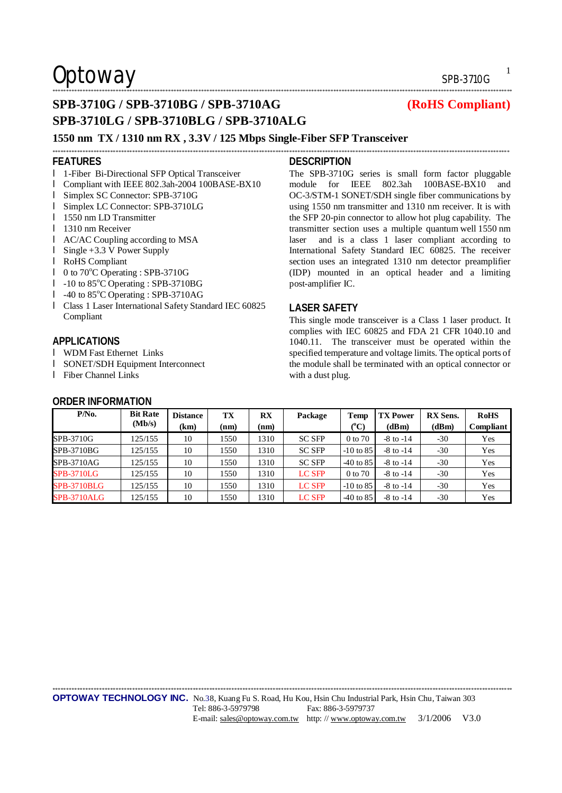### \*\*\*\*\*\*\*\*\*\*\*\*\*\*\*\*\*\*\*\*\*\*\*\*\*\*\*\*\*\*\*\*\*\*\*\*\*\*\*\*\*\*\*\*\*\*\*\*\*\*\*\*\*\*\*\*\*\*\*\*\*\*\*\*\*\*\*\*\*\*\*\*\*\*\*\*\*\*\*\*\*\*\*\*\*\*\*\*\*\*\*\*\*\*\*\*\*\*\*\*\*\*\*\*\*\*\*\*\*\*\*\*\*\*\*\*\*\*\*\*\*\*\*\*\*\*\*\*\*\*\*\*\*\*\*\*\*\*\*\*\*\*\*\*\*\*\*\*\*\*\*\*\*\*\*\*\*\*\*\*\*\*\*\*\*\*\*

### **SPB-3710G / SPB-3710BG / SPB-3710AG (RoHS Compliant) SPB-3710LG / SPB-3710BLG / SPB-3710ALG**

### **1550 nm TX / 1310 nm RX , 3.3V / 125 Mbps Single-Fiber SFP Transceiver**

#### **FEATURES**

- l 1-Fiber Bi-Directional SFP Optical Transceiver
- l Compliant with IEEE 802.3ah-2004 100BASE-BX10
- l Simplex SC Connector: SPB-3710G
- l Simplex LC Connector: SPB-3710LG
- **l** 1550 nm LD Transmitter
- **l** 1310 nm Receiver
- l AC/AC Coupling according to MSA
- l Single +3.3 V Power Supply
- l RoHS Compliant
- $l \quad 0$  to 70 $^{\circ}$ C Operating : SPB-3710G
- l -10 to 85°C Operating : SPB-3710BG
- l -40 to 85°C Operating : SPB-3710AG
- l Class 1 Laser International Safety Standard IEC 60825 Compliant

### **APPLICATIONS**

- l WDM Fast Ethernet Links
- l SONET/SDH Equipment Interconnect
- l Fiber Channel Links

### **ORDER INFORMATION**

**DESCRIPTION** 

\*\*\*\*\*\*\*\*\*\*\*\*\*\*\*\*\*\*\*\*\*\*\*\*\*\*\*\*\*\*\*\*\*\*\*\*\*\*\*\*\*\*\*\*\*\*\*\*\*\*\*\*\*\*\*\*\*\*\*\*\*\*\*\*\*\*\*\*\*\*\*\*\*\*\*\*\*\*\*\*\*\*\*\*\*\*\*\*\*\*\*\*\*\*\*\*\*\*\*\*\*\*\*\*\*\*\*\*\*\*\*\*\*\*\*\*\*\*\*\*\*\*\*\*\*\*\*\*\*\*\*\*\*\*\*\*\*\*\*\*\*\*\*\*\*\*\*\*\*\*\*\*\*\*\*\*\*\*\*\*\*\*\*\*\*\*

The SPB-3710G series is small form factor pluggable module for IEEE 802.3ah 100BASE-BX10 and OC-3/STM-1 SONET/SDH single fiber communications by using 1550 nm transmitter and 1310 nm receiver. It is with the SFP 20-pin connector to allow hot plug capability. The transmitter section uses a multiple quantum well 1550 nm laser and is a class 1 laser compliant according to International Safety Standard IEC 60825. The receiver section uses an integrated 1310 nm detector preamplifier (IDP) mounted in an optical header and a limiting post-amplifier IC.

### **LASER SAFETY**

This single mode transceiver is a Class 1 laser product. It complies with IEC 60825 and FDA 21 CFR 1040.10 and 1040.11. The transceiver must be operated within the specified temperature and voltage limits. The optical ports of the module shall be terminated with an optical connector or with a dust plug.

| $P/N0$ .           | <b>Bit Rate</b> | <b>Distance</b> | TX   | $\mathbf{R} \mathbf{X}$ | Package       | Temp        | <b>TX Power</b> | <b>RX</b> Sens. | <b>RoHS</b> |
|--------------------|-----------------|-----------------|------|-------------------------|---------------|-------------|-----------------|-----------------|-------------|
|                    | (Mb/s)          | (km)            | (nm) | (nm)                    |               | $(^0C)$     | (dBm)           | (dBm)           | Compliant   |
| SPB-3710G          | 125/155         | 10              | 1550 | 1310                    | <b>SC SFP</b> | 0 to 70     | $-8$ to $-14$   | $-30$           | Yes         |
| SPB-3710BG         | 125/155         | 10              | 1550 | 1310                    | <b>SC SFP</b> | $-10$ to 85 | $-8$ to $-14$   | $-30$           | Yes         |
| SPB-3710AG         | 125/155         | 10              | 1550 | 1310                    | <b>SC SFP</b> | $-40$ to 85 | $-8$ to $-14$   | $-30$           | Yes         |
| <b>SPB-3710LG</b>  | 125/155         | 10              | 1550 | 1310                    | LC SFP        | 0 to 70     | $-8$ to $-14$   | $-30$           | Yes         |
| <b>SPB-3710BLG</b> | 125/155         | 10              | 1550 | 1310                    | <b>LC SFP</b> | $-10$ to 85 | $-8$ to $-14$   | $-30$           | Yes         |
| <b>SPB-3710ALG</b> | 125/155         | 10              | 1550 | 1310                    | <b>LC SFP</b> | $-40$ to 85 | $-8$ to $-14$   | $-30$           | Yes         |

\*\*\*\*\*\*\*\*\*\*\*\*\*\*\*\*\*\*\*\*\*\*\*\*\*\*\*\*\*\*\*\*\*\*\*\*\*\*\*\*\*\*\*\*\*\*\*\*\*\*\*\*\*\*\*\*\*\*\*\*\*\*\*\*\*\*\*\*\*\*\*\*\*\*\*\*\*\*\*\*\*\*\*\*\*\*\*\*\*\*\*\*\*\*\*\*\*\*\*\*\*\*\*\*\*\*\*\*\*\*\*\*\*\*\*\*\*\*\*\*\*\*\*\*\*\*\*\*\*\*\*\*\*\*\*\*\*\*\*\*\*\*\*\*\*\*\*\*\*\*\*\*\*\*\*\*\*\*\*\*\*\*\*\*\*\*\*

1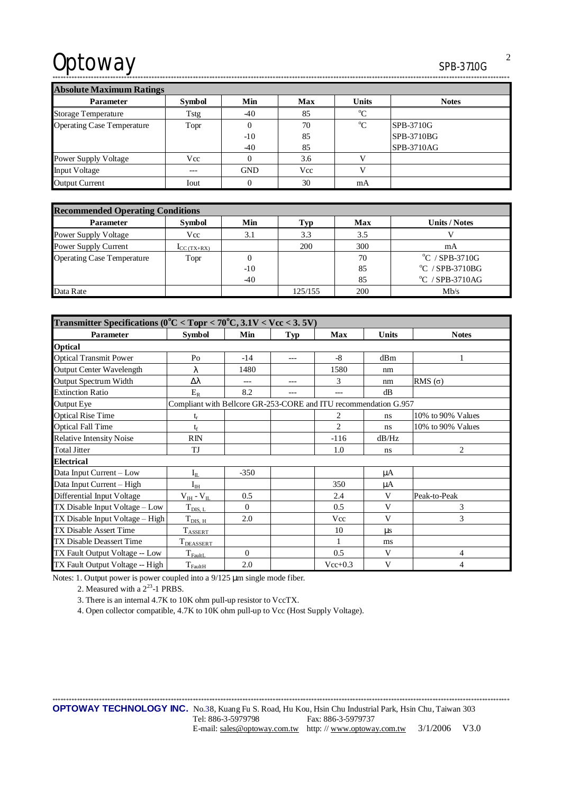2

\*\*\*\*\*\*\*\*\*\*\*\*\*\*\*\*\*\*\*\*\*\*\*\*\*\*\*\*\*\*\*\*\*\*\*\*\*\*\*\*\*\*\*\*\*\*\*\*\*\*\*\*\*\*\*\*\*\*\*\*\*\*\*\*\*\*\*\*\*\*\*\*\*\*\*\*\*\*\*\*\*\*\*\*\*\*\*\*\*\*\*\*\*\*\*\*\*\*\*\*\*\*\*\*\*\*\*\*\*\*\*\*\*\*\*\*\*\*\*\*\*\*\*\*\*\*\*\*\*\*\*\*\*\*\*\*\*\*\*\*\*\*\*\*\*\*\*\*\*\*\*\*\*\*\*\*\*\*\*\*\*\*\*\*\*\*

**Absolute Maximum Ratings** 

| <b>AUSULULE MAXIMUMI NAUMES</b>   |               |            |            |              |              |  |  |  |  |  |  |
|-----------------------------------|---------------|------------|------------|--------------|--------------|--|--|--|--|--|--|
| <b>Parameter</b>                  | <b>Symbol</b> | Min        | <b>Max</b> | <b>Units</b> | <b>Notes</b> |  |  |  |  |  |  |
| <b>Storage Temperature</b>        | Tstg          | $-40$      | 85         | $\rm ^{o}C$  |              |  |  |  |  |  |  |
| <b>Operating Case Temperature</b> | Topr          |            | 70         | $^{\circ}C$  | SPB-3710G    |  |  |  |  |  |  |
|                                   |               | $-10$      | 85         |              | SPB-3710BG   |  |  |  |  |  |  |
|                                   |               | $-40$      | 85         |              | SPB-3710AG   |  |  |  |  |  |  |
| <b>Power Supply Voltage</b>       | Vcc           |            | 3.6        |              |              |  |  |  |  |  |  |
| <b>Input Voltage</b>              | $---$         | <b>GND</b> | Vcc        |              |              |  |  |  |  |  |  |
| <b>Output Current</b>             | Iout          |            | 30         | mA           |              |  |  |  |  |  |  |

| <b>Recommended Operating Conditions</b> |                                               |       |         |            |                                  |  |  |  |
|-----------------------------------------|-----------------------------------------------|-------|---------|------------|----------------------------------|--|--|--|
| <b>Parameter</b>                        | Symbol                                        | Min   | l'vp    | <b>Max</b> | <b>Units / Notes</b>             |  |  |  |
| <b>Power Supply Voltage</b>             | Vcc                                           | 3.1   | 3.3     | 3.5        |                                  |  |  |  |
| Power Supply Current                    | $\mathbf{I}_{\text{CC}}(\text{TX}+\text{RX})$ |       | 200     | 300        | mA                               |  |  |  |
| <b>Operating Case Temperature</b>       | Topr                                          | 0     |         | 70         | $\mathrm{^{\circ}C}$ / SPB-3710G |  |  |  |
|                                         |                                               | $-10$ |         | 85         | $^{\circ}$ C / SPB-3710BG        |  |  |  |
|                                         |                                               | $-40$ |         | 85         | $\rm ^{o}C$ / SPB-3710AG         |  |  |  |
| Data Rate                               |                                               |       | 125/155 | 200        | Mb/s                             |  |  |  |

| Transmitter Specifications ( $0^{\circ}$ C < Topr < 70 $^{\circ}$ C, 3.1V < Vcc < 3.5V) |                                                                  |          |       |                |              |                   |  |  |
|-----------------------------------------------------------------------------------------|------------------------------------------------------------------|----------|-------|----------------|--------------|-------------------|--|--|
| <b>Parameter</b>                                                                        | <b>Symbol</b>                                                    | Min      | Typ   | Max            | <b>Units</b> | <b>Notes</b>      |  |  |
| <b>Optical</b>                                                                          |                                                                  |          |       |                |              |                   |  |  |
| <b>Optical Transmit Power</b>                                                           | P <sub>O</sub>                                                   | $-14$    | $---$ | $-8$           | dBm          |                   |  |  |
| <b>Output Center Wavelength</b>                                                         | λ                                                                | 1480     |       | 1580           | nm           |                   |  |  |
| Output Spectrum Width                                                                   | Δλ                                                               |          | ---   | 3              | nm           | RMS $(\sigma)$    |  |  |
| <b>Extinction Ratio</b>                                                                 | $E_R$                                                            | 8.2      | ---   | ---            | dB           |                   |  |  |
| Output Eye                                                                              | Compliant with Bellcore GR-253-CORE and ITU recommendation G.957 |          |       |                |              |                   |  |  |
| <b>Optical Rise Time</b>                                                                |                                                                  |          |       | 2              | ns           | 10% to 90% Values |  |  |
| <b>Optical Fall Time</b>                                                                | tr                                                               |          |       | $\overline{2}$ | ns           | 10% to 90% Values |  |  |
| <b>Relative Intensity Noise</b>                                                         | RIN                                                              |          |       | $-116$         | dB/Hz        |                   |  |  |
| <b>Total Jitter</b>                                                                     | TJ                                                               |          |       | 1.0            | ns           | $\overline{2}$    |  |  |
| <b>Electrical</b>                                                                       |                                                                  |          |       |                |              |                   |  |  |
| Data Input Current - Low                                                                | $I_{II}$                                                         | $-350$   |       |                | μA           |                   |  |  |
| Data Input Current - High                                                               | $I_{IH}$                                                         |          |       | 350            | μA           |                   |  |  |
| Differential Input Voltage                                                              | $\rm V_{\rm IH}$ - $\rm V_{\rm IL}$                              | 0.5      |       | 2.4            | V            | Peak-to-Peak      |  |  |
| TX Disable Input Voltage - Low                                                          | $T_{\underline{DIS, L}}$                                         | $\Omega$ |       | 0.5            | V            | 3                 |  |  |
| TX Disable Input Voltage - High                                                         | $T_{\rm DIS, H}$                                                 | 2.0      |       | Vcc            | V            | 3                 |  |  |
| <b>TX Disable Assert Time</b>                                                           | <b>TASSERT</b>                                                   |          |       | 10             | μs           |                   |  |  |
| TX Disable Deassert Time                                                                | T <sub>DEASSERT</sub>                                            |          |       |                | ms           |                   |  |  |
| TX Fault Output Voltage -- Low                                                          | $T_{\rm{FaultL}}$                                                | $\Omega$ |       | 0.5            | V            | 4                 |  |  |
| TX Fault Output Voltage -- High                                                         | $T_{\rm FaultH}$                                                 | 2.0      |       | $Vec+0.3$      | V            | 4                 |  |  |

Notes: 1. Output power is power coupled into a 9/125 μm single mode fiber.

2. Measured with a  $2^{23}$ -1 PRBS.

3. There is an internal 4.7K to 10K ohm pull-up resistor to VccTX.

4. Open collector compatible, 4.7K to 10K ohm pull-up to Vcc (Host Supply Voltage).

\*\*\*\*\*\*\*\*\*\*\*\*\*\*\*\*\*\*\*\*\*\*\*\*\*\*\*\*\*\*\*\*\*\*\*\*\*\*\*\*\*\*\*\*\*\*\*\*\*\*\*\*\*\*\*\*\*\*\*\*\*\*\*\*\*\*\*\*\*\*\*\*\*\*\*\*\*\*\*\*\*\*\*\*\*\*\*\*\*\*\*\*\*\*\*\*\*\*\*\*\*\*\*\*\*\*\*\*\*\*\*\*\*\*\*\*\*\*\*\*\*\*\*\*\*\*\*\*\*\*\*\*\*\*\*\*\*\*\*\*\*\*\*\*\*\*\*\*\*\*\*\*\*\*\*\*\*\*\*\*\*\*\*\*\*\* **OPTOWAY TECHNOLOGY INC.** No.38, Kuang Fu S. Road, Hu Kou, Hsin Chu Industrial Park, Hsin Chu, Taiwan 303 Tel: 886-3-5979798 Fax: 886-3-5979737 E-mail: [sales@optoway.com.tw](mailto:sales@optoway.com.tw) http: // [www.optoway.com.tw](http://www.optoway.com.tw) 3/1/2006 V3.0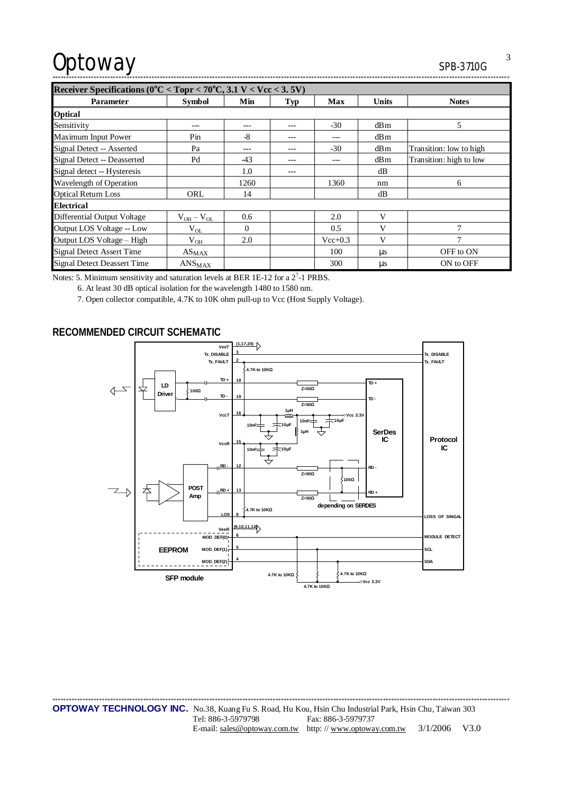| SPB-371UG |  |  |  |  |  |  |  |  |  |  |  |
|-----------|--|--|--|--|--|--|--|--|--|--|--|
|           |  |  |  |  |  |  |  |  |  |  |  |

| Receiver Specifications ( $0^{\circ}$ C < Topr < 70 $^{\circ}$ C, 3.1 V < Vcc < 3.5V) |                               |          |            |             |         |                         |  |  |  |
|---------------------------------------------------------------------------------------|-------------------------------|----------|------------|-------------|---------|-------------------------|--|--|--|
| <b>Parameter</b>                                                                      | <b>Symbol</b>                 | Min      | <b>Typ</b> | Max         | Units   | <b>Notes</b>            |  |  |  |
| <b>Optical</b>                                                                        |                               |          |            |             |         |                         |  |  |  |
| Sensitivity                                                                           | ---                           |          |            | $-30$       | dBm     | 5                       |  |  |  |
| Maximum Input Power                                                                   | Pin                           | $-8$     |            | ---         | dBm     |                         |  |  |  |
| Signal Detect -- Asserted                                                             | Pa                            |          | ---        | $-30$       | dBm     | Transition: low to high |  |  |  |
| Signal Detect -- Deasserted                                                           | Pd                            | $-43$    |            | ---         | dBm     | Transition: high to low |  |  |  |
| Signal detect -- Hysteresis                                                           |                               | 1.0      | ---        |             | dB      |                         |  |  |  |
| Wavelength of Operation                                                               |                               | 1260     |            | 1360        | nm      | 6                       |  |  |  |
| <b>Optical Return Loss</b>                                                            | ORL                           | 14       |            |             | dB      |                         |  |  |  |
| <b>Electrical</b>                                                                     |                               |          |            |             |         |                         |  |  |  |
| <b>Differential Output Voltage</b>                                                    | $V_{OH} - V_{OL}$             | 0.6      |            | 2.0         | V       |                         |  |  |  |
| Output LOS Voltage -- Low                                                             | $V_{OL}$                      | $\Omega$ |            | 0.5         | V       | 7                       |  |  |  |
| Output LOS Voltage - High                                                             | $V_{OH}$                      | 2.0      |            | $Vec{+}0.3$ | V       | $\overline{7}$          |  |  |  |
| <b>Signal Detect Assert Time</b>                                                      | $AS_{MAX}$                    |          |            | 100         | $\mu$ s | OFF to ON               |  |  |  |
| <b>Signal Detect Deassert Time</b>                                                    | $\mathrm{ANS}_{\mathrm{MAX}}$ |          |            | 300         | $\mu$ s | ON to OFF               |  |  |  |

Notes: 5. Minimum sensitivity and saturation levels at BER 1E-12 for a  $2^7$ -1 PRBS.

6. At least 30 dB optical isolation for the wavelength 1480 to 1580 nm.

7. Open collector compatible, 4.7K to 10K ohm pull-up to Vcc (Host Supply Voltage).

### **RECOMMENDED CIRCUIT SCHEMATIC**



3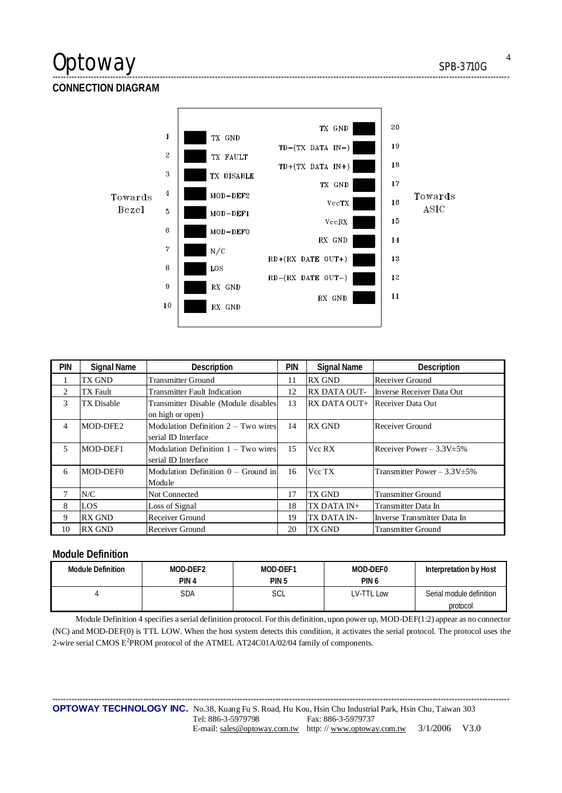### **CONNECTION DIAGRAM**



\*\*\*\*\*\*\*\*\*\*\*\*\*\*\*\*\*\*\*\*\*\*\*\*\*\*\*\*\*\*\*\*\*\*\*\*\*\*\*\*\*\*\*\*\*\*\*\*\*\*\*\*\*\*\*\*\*\*\*\*\*\*\*\*\*\*\*\*\*\*\*\*\*\*\*\*\*\*\*\*\*\*\*\*\*\*\*\*\*\*\*\*\*\*\*\*\*\*\*\*\*\*\*\*\*\*\*\*\*\*\*\*\*\*\*\*\*\*\*\*\*\*\*\*\*\*\*\*\*\*\*\*\*\*\*\*\*\*\*\*\*\*\*\*\*\*\*\*\*\*\*\*\*\*\*\*\*\*\*\*\*\*\*\*\*\*

| <b>PIN</b> | <b>Signal Name</b> | Description                           | PIN | <b>Signal Name</b>  | <b>Description</b>                |
|------------|--------------------|---------------------------------------|-----|---------------------|-----------------------------------|
|            | TX GND             | <b>Transmitter Ground</b>             | 11  | <b>RX GND</b>       | Receiver Ground                   |
| 2          | TX Fault           | <b>Transmitter Fault Indication</b>   | 12  | <b>RX DATA OUT-</b> | Inverse Receiver Data Out         |
| 3          | <b>TX Disable</b>  | Transmitter Disable (Module disables  | 13  | RX DATA OUT+        | Receiver Data Out                 |
|            |                    | on high or open)                      |     |                     |                                   |
| 4          | MOD-DFE2           | Modulation Definition $2 - Two wires$ | 14  | <b>RX GND</b>       | Receiver Ground                   |
|            |                    | serial ID Interface                   |     |                     |                                   |
| 5          | MOD-DEF1           | Modulation Definition $1 - Two wires$ | 15  | Vcc RX              | Receiver Power $-3.3V \pm 5\%$    |
|            |                    | serial ID Interface                   |     |                     |                                   |
| 6          | MOD-DEF0           | Modulation Definition $0 -$ Ground in | 16  | Vcc TX              | Transmitter Power $-3.3V \pm 5\%$ |
|            |                    | Module                                |     |                     |                                   |
| 7          | N/C                | Not Connected                         | 17  | TX GND              | <b>Transmitter Ground</b>         |
| 8          | <b>LOS</b>         | Loss of Signal                        | 18  | TX DATA IN+         | Transmitter Data In               |
| 9          | <b>RX GND</b>      | Receiver Ground                       | 19  | TX DATA IN-         | Inverse Transmitter Data In       |
| 10         | <b>RX GND</b>      | Receiver Ground                       | 20  | <b>TX GND</b>       | <b>Transmitter Ground</b>         |

### **Module Definition**

| <b>Module Definition</b> | MOD-DEF2<br>PIN <sub>4</sub> | MOD-DEF1<br>PIN <sub>5</sub> | MOD-DEF0<br>PIN <sub>6</sub> | Interpretation by Host   |
|--------------------------|------------------------------|------------------------------|------------------------------|--------------------------|
|                          |                              |                              |                              |                          |
|                          | SDA                          | SCL                          | LV-TTL Low                   | Serial module definition |
|                          |                              |                              |                              | protocol                 |

Module Definition 4 specifies a serial definition protocol. For this definition, upon power up, MOD-DEF(1:2) appear as no connector (NC) and MOD-DEF(0) is TTL LOW. When the host system detects this condition, it activates the serial protocol. The protocol uses the 2-wire serial CMOS  $E^2$ PROM protocol of the ATMEL AT24C01A/02/04 family of components.

\*\*\*\*\*\*\*\*\*\*\*\*\*\*\*\*\*\*\*\*\*\*\*\*\*\*\*\*\*\*\*\*\*\*\*\*\*\*\*\*\*\*\*\*\*\*\*\*\*\*\*\*\*\*\*\*\*\*\*\*\*\*\*\*\*\*\*\*\*\*\*\*\*\*\*\*\*\*\*\*\*\*\*\*\*\*\*\*\*\*\*\*\*\*\*\*\*\*\*\*\*\*\*\*\*\*\*\*\*\*\*\*\*\*\*\*\*\*\*\*\*\*\*\*\*\*\*\*\*\*\*\*\*\*\*\*\*\*\*\*\*\*\*\*\*\*\*\*\*\*\*\*\*\*\*\*\*\*\*\*\*\*\*\*\*\* **OPTOWAY TECHNOLOGY INC.** No.38, Kuang Fu S. Road, Hu Kou, Hsin Chu Industrial Park, Hsin Chu, Taiwan 303 Tel: 886-3-5979798 Fax: 886-3-5979737 E-mail: [sales@optoway.com.tw](mailto:sales@optoway.com.tw) http: // [www.optoway.com.tw](http://www.optoway.com.tw) 3/1/2006 V3.0

4